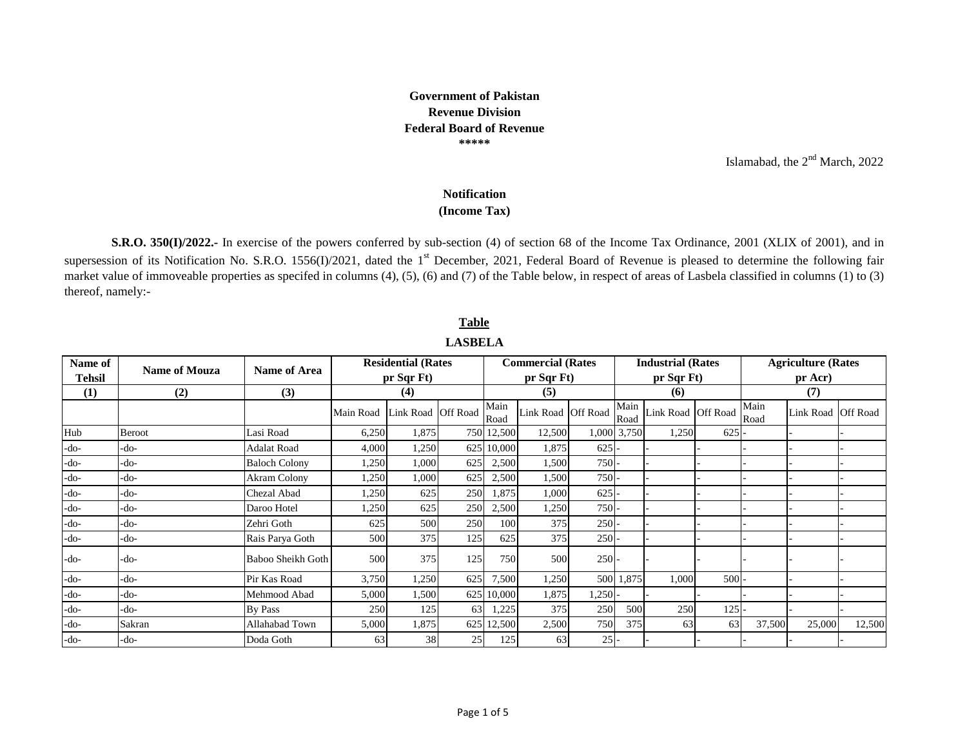## **Government of Pakistan Revenue Division Federal Board of Revenue \*\*\*\*\***

Islamabad, the  $2<sup>nd</sup>$  March, 2022

## **Notification**

## **(Income Tax)**

**S.R.O. 350(I)/2022.-** In exercise of the powers conferred by sub-section (4) of section 68 of the Income Tax Ordinance, 2001 (XLIX of 2001), and in supersession of its Notification No. S.R.O. 1556(I)/2021, dated the 1<sup>st</sup> December, 2021, Federal Board of Revenue is pleased to determine the following fair market value of immoveable properties as specifed in columns (4), (5), (6) and (7) of the Table below, in respect of areas of Lasbela classified in columns (1) to (3) thereof, namely:-

| Name of  | Name of Area<br><b>Name of Mouza</b> |                      |           | <b>Residential (Rates)</b> |     |              | <b>Commercial (Rates</b> |         |              | <b>Industrial (Rates)</b> |     | <b>Agriculture (Rates)</b><br>$pr$ Acr) |           |                 |  |
|----------|--------------------------------------|----------------------|-----------|----------------------------|-----|--------------|--------------------------|---------|--------------|---------------------------|-----|-----------------------------------------|-----------|-----------------|--|
| Tehsil   |                                      |                      |           | pr Sqr Ft)                 |     |              | pr Sqr Ft)               |         |              | pr Sqr Ft)                |     |                                         |           |                 |  |
| $\bf(1)$ | (2)                                  | (3)                  |           | (4)                        |     | (5)          |                          |         |              | (6)                       |     | (7)                                     |           |                 |  |
|          |                                      |                      | Main Road | Link Road Off Road         |     | Main<br>Road | Link Road Off Road       |         | Main<br>Road | Link Road Off Road        |     | Main<br>Road                            | Link Road | <b>Off Road</b> |  |
| Hub      | <b>Beroot</b>                        | Lasi Road            | 6,250     | 1,875                      |     | 750 12,500   | 12,500                   |         | 1,000 3,750  | 1,250                     | 625 |                                         |           |                 |  |
| $-do-$   | -do-                                 | <b>Adalat Road</b>   | 4,000     | 1,250                      |     | 625 10,000   | 1,875                    | 625     |              |                           |     |                                         |           |                 |  |
| $-do-$   | -do-                                 | <b>Baloch Colony</b> | 1,250     | 1,000                      | 625 | 2,500        | 1,500                    | $750 -$ |              |                           |     |                                         |           |                 |  |
| $-do-$   | -do-                                 | <b>Akram Colony</b>  | 1,250     | 1,000                      | 625 | 2,500        | 1,500                    | $750 -$ |              |                           |     |                                         |           |                 |  |
| -do-     | -do-                                 | Chezal Abad          | 1,250     | 625                        | 250 | 1,875        | 1,000                    | 625     |              |                           |     |                                         |           |                 |  |
| -do-     | -do-                                 | Daroo Hotel          | 1,250     | 625                        | 250 | 2,500        | 1,250                    | $750 -$ |              |                           |     |                                         |           |                 |  |
| $-do-$   | -do-                                 | Zehri Goth           | 625       | 500                        | 250 | 100          | 375                      | $250$ - |              |                           |     |                                         |           |                 |  |
| -do-     | -do-                                 | Rais Parya Goth      | 500       | 375                        | 125 | 625          | 375                      | $250$ - |              |                           |     |                                         |           |                 |  |
| -do-     | -do-                                 | Baboo Sheikh Goth    | 500       | 375                        | 125 | 750          | 500                      | $250 -$ |              |                           |     |                                         |           |                 |  |
| -do-     | -do-                                 | Pir Kas Road         | 3,750     | 1,250                      | 625 | 7,500        | 1,250                    |         | 500 1,875    | 1,000                     | 500 |                                         |           |                 |  |
| -do-     | -do-                                 | Mehmood Abad         | 5,000     | 1,500                      | 625 | 10,000       | 1,875                    | 1,250   |              |                           |     |                                         |           |                 |  |
| -do-     | -do-                                 | <b>By Pass</b>       | 250       | 125                        | 63  | 1,225        | 375                      | 250     | 500          | 250                       | 125 |                                         |           |                 |  |
| $-do-$   | Sakran                               | Allahabad Town       | 5,000     | 1,875                      | 625 | 12,500       | 2,500                    | 750     | 375          | 63                        | 63  | 37,500                                  | 25,000    | 12,500          |  |
| $-do-$   | -do-                                 | Doda Goth            | 63        | 38                         | 25  | 125          | 63                       | $25$ -  |              |                           |     |                                         |           |                 |  |

**LASBELA Table**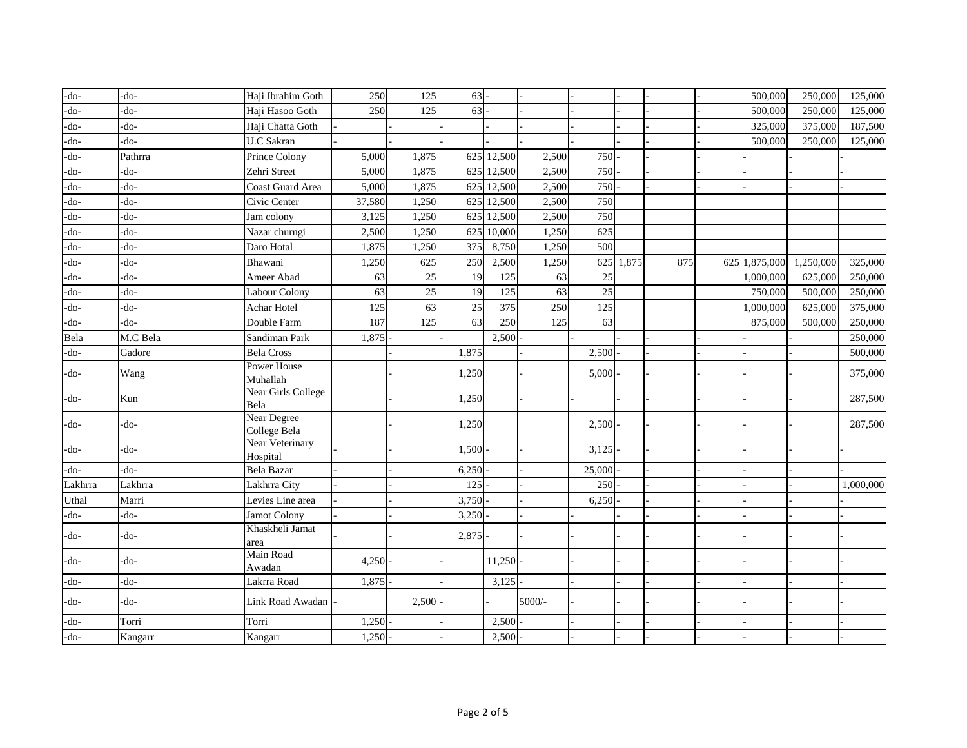| $-do-$  | -do-     | Haji Ibrahim Goth                 | 250    | 125             | 63    |            |          |                  |       |     | 500,000       | 250,000   | 125,000   |
|---------|----------|-----------------------------------|--------|-----------------|-------|------------|----------|------------------|-------|-----|---------------|-----------|-----------|
| -do-    | -do-     | Haji Hasoo Goth                   | 250    | 125             | 63    |            |          |                  |       |     | 500,000       | 250,000   | 125,000   |
| -do-    | -do-     | Haji Chatta Goth                  |        |                 |       |            |          |                  |       |     | 325,000       | 375,000   | 187,500   |
| -do-    | -do-     | <b>U.C Sakran</b>                 |        |                 |       |            |          |                  |       |     | 500,000       | 250,000   | 125,000   |
| -do-    | Pathrra  | Prince Colony                     | 5,000  | 1,875           |       | 625 12,500 | 2,500    | 750              |       |     |               |           |           |
| -do-    | -do-     | Zehri Street                      | 5,000  | 1,875           |       | 625 12,500 | 2,500    | 750              |       |     |               |           |           |
| -do-    | -do-     | Coast Guard Area                  | 5,000  | 1,875           |       | 625 12,500 | 2,500    | 750              |       |     |               |           |           |
| -do-    | -do-     | Civic Center                      | 37,580 | 1,250           |       | 625 12,500 | 2,500    | 750              |       |     |               |           |           |
| -do-    | -do-     | Jam colony                        | 3,125  | 1,250           |       | 625 12,500 | 2,500    | 750              |       |     |               |           |           |
| -do-    | -do-     | Nazar churngi                     | 2,500  | 1,250           | 625   | 10,000     | 1,250    | 625              |       |     |               |           |           |
| -do-    | -do-     | Daro Hotal                        | 1,875  | 1,250           | 375   | 8,750      | 1,250    | 500              |       |     |               |           |           |
| -do-    | -do-     | Bhawani                           | 1,250  | 625             | 250   | 2,500      | 1,250    | 625              | 1,875 | 875 | 625 1,875,000 | 1,250,000 | 325,000   |
| -do-    | -do-     | Ameer Abad                        | 63     | 25              | 19    | 125        | 63       | 25               |       |     | 1,000,000     | 625,000   | 250,000   |
| $-do-$  | -do-     | Labour Colony                     | 63     | $\overline{25}$ | 19    | 125        | 63       | 25               |       |     | 750,000       | 500,000   | 250,000   |
| $-do-$  | -do-     | Achar Hotel                       | 125    | 63              | 25    | 375        | 250      | $\overline{125}$ |       |     | 1,000,000     | 625,000   | 375,000   |
| -do-    | -do-     | Double Farm                       | 187    | 125             | 63    | 250        | 125      | 63               |       |     | 875,000       | 500,000   | 250,000   |
| Bela    | M.C Bela | Sandiman Park                     | 1,875  |                 |       | 2,500      |          |                  |       |     |               |           | 250,000   |
| $-do-$  | Gadore   | <b>Bela Cross</b>                 |        |                 | 1,875 |            |          | 2,500            |       |     |               |           | 500,000   |
| -do-    | Wang     | Power House<br>Muhallah           |        |                 | 1,250 |            |          | 5,000            |       |     |               |           | 375,000   |
| -do-    | Kun      | <b>Near Girls College</b><br>Bela |        |                 | 1,250 |            |          |                  |       |     |               |           | 287,500   |
| -do-    | -do-     | Near Degree<br>College Bela       |        |                 | 1,250 |            |          | 2,500            |       |     |               |           | 287,500   |
| -do-    | -do-     | Near Veterinary<br>Hospital       |        |                 | 1,500 |            |          | 3,125            |       |     |               |           |           |
| -do-    | -do-     | <b>Bela Bazar</b>                 |        |                 | 6,250 |            |          | 25,000           |       |     |               |           |           |
| Lakhrra | Lakhrra  | Lakhrra City                      |        |                 | 125   |            |          | 250              |       |     |               |           | 1,000,000 |
| Uthal   | Marri    | Levies Line area                  |        |                 | 3,750 |            |          | 6,250            |       |     |               |           |           |
| $-do-$  | -do-     | <b>Jamot Colony</b>               |        |                 | 3,250 |            |          |                  |       |     |               |           |           |
| -do-    | -do-     | Khaskheli Jamat<br>area           |        |                 | 2,875 |            |          |                  |       |     |               |           |           |
| -do-    | -do-     | Main Road<br>Awadan               | 4,250  |                 |       | 11,250     |          |                  |       |     |               |           |           |
| -do-    | -do-     | Lakrra Road                       | 1,875  |                 |       | 3,125      |          |                  |       |     |               |           |           |
| -do-    | -do-     | Link Road Awadan                  |        | $2,500 -$       |       |            | $5000/-$ |                  |       |     |               |           |           |
| $-do-$  | Torri    | Torri                             | 1,250  |                 |       | 2,500      |          |                  |       |     |               |           |           |
| $-do-$  | Kangarr  | Kangarr                           | 1,250  |                 |       | 2,500      |          |                  |       |     |               |           |           |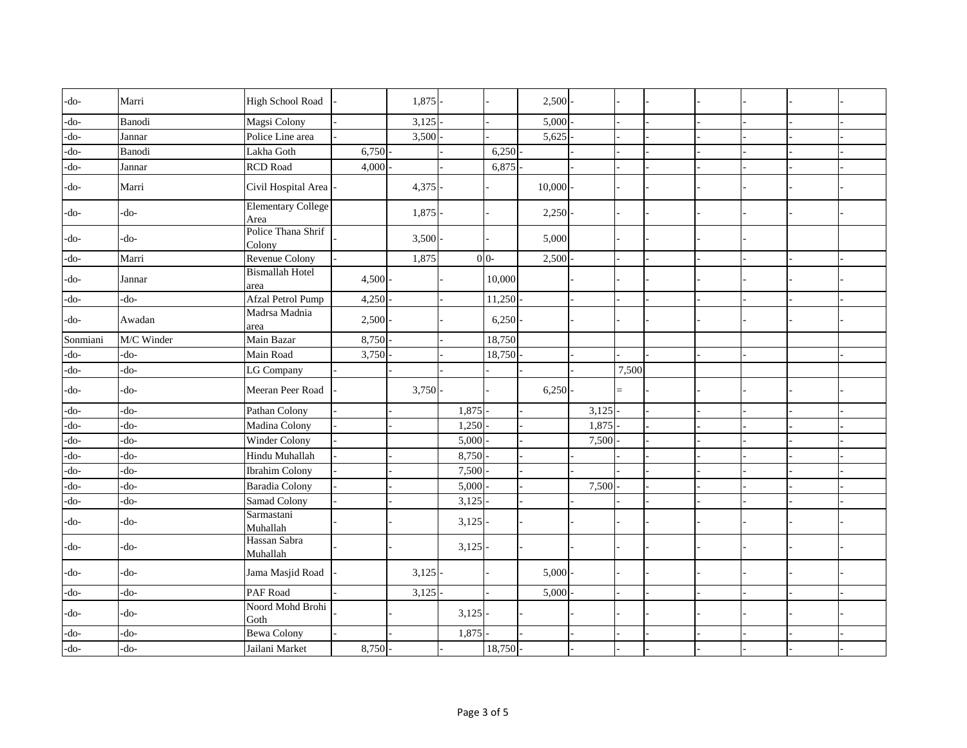| $-do-$   | Marri         | <b>High School Road</b>           |       | 1,875 |           |                | 2,500  |       |       |  |  |  |
|----------|---------------|-----------------------------------|-------|-------|-----------|----------------|--------|-------|-------|--|--|--|
| $-do-$   | <b>Banodi</b> | Magsi Colony                      |       | 3,125 |           |                | 5,000  |       |       |  |  |  |
| $-do-$   | Jannar        | Police Line area                  |       | 3,500 |           |                | 5,625  |       |       |  |  |  |
| $-do-$   | <b>Banodi</b> | Lakha Goth                        | 6,750 |       |           | 6,250          |        |       |       |  |  |  |
| $-do-$   | Jannar        | <b>RCD</b> Road                   | 4,000 |       |           | 6,875          |        |       |       |  |  |  |
| -do-     | Marri         | Civil Hospital Area               |       | 4,375 |           |                | 10,000 |       |       |  |  |  |
| -do-     | $-do-$        | <b>Elementary College</b><br>Area |       | 1,875 |           |                | 2,250  |       |       |  |  |  |
| -do-     | -do-          | Police Thana Shrif<br>Colony      |       | 3,500 |           |                | 5,000  |       |       |  |  |  |
| $-do-$   | Marri         | <b>Revenue Colony</b>             |       | 1,875 |           | 0 <sub>0</sub> | 2,500  |       |       |  |  |  |
| -do-     | Jannar        | <b>Bismallah Hotel</b><br>area    | 4,500 |       |           | 10,000         |        |       |       |  |  |  |
| -do-     | -do-          | Afzal Petrol Pump                 | 4,250 |       |           | 11,250         |        |       |       |  |  |  |
| -do-     | Awadan        | Madrsa Madnia<br>area             | 2,500 |       |           | 6,250          |        |       |       |  |  |  |
| Sonmiani | M/C Winder    | Main Bazar                        | 8,750 |       |           | 18,750         |        |       |       |  |  |  |
| $-do-$   | -do-          | Main Road                         | 3,750 |       |           | 18,750         |        |       |       |  |  |  |
| $-do-$   | -do-          | LG Company                        |       |       |           |                |        |       | 7,500 |  |  |  |
| -do-     | -do-          | Meeran Peer Road                  |       | 3,750 |           |                | 6,250  |       | $=$   |  |  |  |
| -do-     | -do-          | Pathan Colony                     |       |       | 1,875     |                |        | 3,125 |       |  |  |  |
| -do-     | -do-          | Madina Colony                     |       |       | 1,250     |                |        | 1,875 |       |  |  |  |
| -do-     | -do-          | Winder Colony                     |       |       | 5,000     |                |        | 7,500 |       |  |  |  |
| -do-     | -do-          | Hindu Muhallah                    |       |       | 8,750     |                |        |       |       |  |  |  |
| -do-     | $-do-$        | <b>Ibrahim Colony</b>             |       |       | 7,500     |                |        |       |       |  |  |  |
| -do-     | -do-          | <b>Baradia Colony</b>             |       |       | 5,000     |                |        | 7,500 |       |  |  |  |
| -do-     | -do-          | <b>Samad Colony</b>               |       |       | 3,125     |                |        |       |       |  |  |  |
| -do-     | -do-          | Sarmastani<br>Muhallah            |       |       | 3,125     |                |        |       |       |  |  |  |
| -do-     | $-do-$        | Hassan Sabra<br>Muhallah          |       |       | $3,125$ - |                |        |       |       |  |  |  |
| -do-     | $-do-$        | Jama Masjid Road                  |       | 3,125 |           |                | 5,000  |       |       |  |  |  |
| -do-     | -do-          | PAF Road                          |       | 3,125 |           |                | 5,000  |       |       |  |  |  |
| -do-     | -do-          | Noord Mohd Brohi<br>Goth          |       |       | 3,125     |                |        |       |       |  |  |  |
| -do-     | -do-          | <b>Bewa Colony</b>                |       |       | 1,875     |                |        |       |       |  |  |  |
| $-do-$   | -do-          | Jailani Market                    | 8,750 |       |           | 18,750         |        |       |       |  |  |  |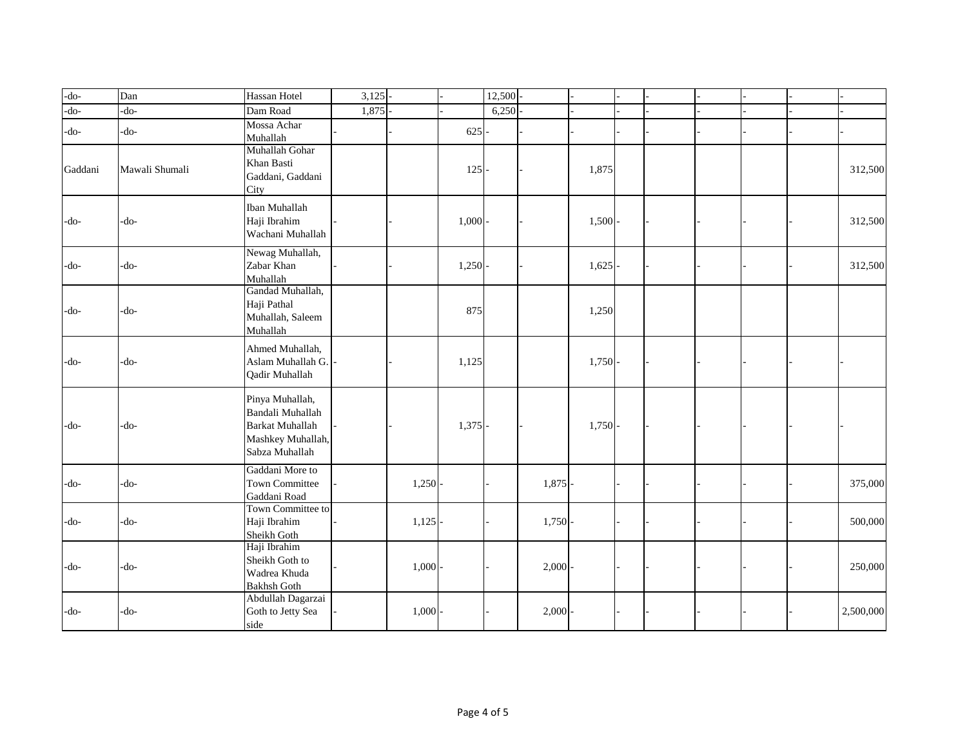| -do-    | Dan            | Hassan Hotel                                                                                         | 3,125 |           |         | 12,500 |       |       |  |  |           |
|---------|----------------|------------------------------------------------------------------------------------------------------|-------|-----------|---------|--------|-------|-------|--|--|-----------|
| -do-    | $-do-$         | Dam Road                                                                                             | 1,875 |           |         | 6,250  |       |       |  |  |           |
| $-do-$  | $-do-$         | Mossa Achar<br>Muhallah                                                                              |       |           | 625     |        |       |       |  |  |           |
| Gaddani | Mawali Shumali | Muhallah Gohar<br>Khan Basti<br>Gaddani, Gaddani<br>City                                             |       |           | $125 -$ |        |       | 1,875 |  |  | 312,500   |
| -do-    | -do-           | <b>Iban Muhallah</b><br>Haji Ibrahim<br>Wachani Muhallah                                             |       |           | 1,000   |        |       | 1,500 |  |  | 312,500   |
| -do-    | -do-           | Newag Muhallah,<br>Zabar Khan<br>Muhallah                                                            |       |           | 1,250   |        |       | 1,625 |  |  | 312,500   |
| -do-    | -do-           | Gandad Muhallah,<br>Haji Pathal<br>Muhallah, Saleem<br>Muhallah                                      |       |           | 875     |        |       | 1,250 |  |  |           |
| -do-    | -do-           | Ahmed Muhallah,<br>Aslam Muhallah G.<br>Qadir Muhallah                                               |       |           | 1,125   |        |       | 1,750 |  |  |           |
| -do-    | -do-           | Pinya Muhallah,<br>Bandali Muhallah<br><b>Barkat Muhallah</b><br>Mashkey Muhallah,<br>Sabza Muhallah |       |           | 1,375   |        |       | 1,750 |  |  |           |
| $-do-$  | -do-           | Gaddani More to<br>Town Committee<br>Gaddani Road                                                    |       | 1,250     |         |        | 1,875 |       |  |  | 375,000   |
| -do-    | -do-           | Town Committee to<br>Haji Ibrahim<br>Sheikh Goth                                                     |       | 1,125     |         |        | 1,750 |       |  |  | 500,000   |
| -do-    | -do-           | Haji Ibrahim<br>Sheikh Goth to<br>Wadrea Khuda<br><b>Bakhsh Goth</b>                                 |       | 1,000     |         |        | 2,000 |       |  |  | 250,000   |
| -do-    | -do-           | Abdullah Dagarzai<br>Goth to Jetty Sea<br>side                                                       |       | $1,000 -$ |         |        | 2,000 |       |  |  | 2,500,000 |